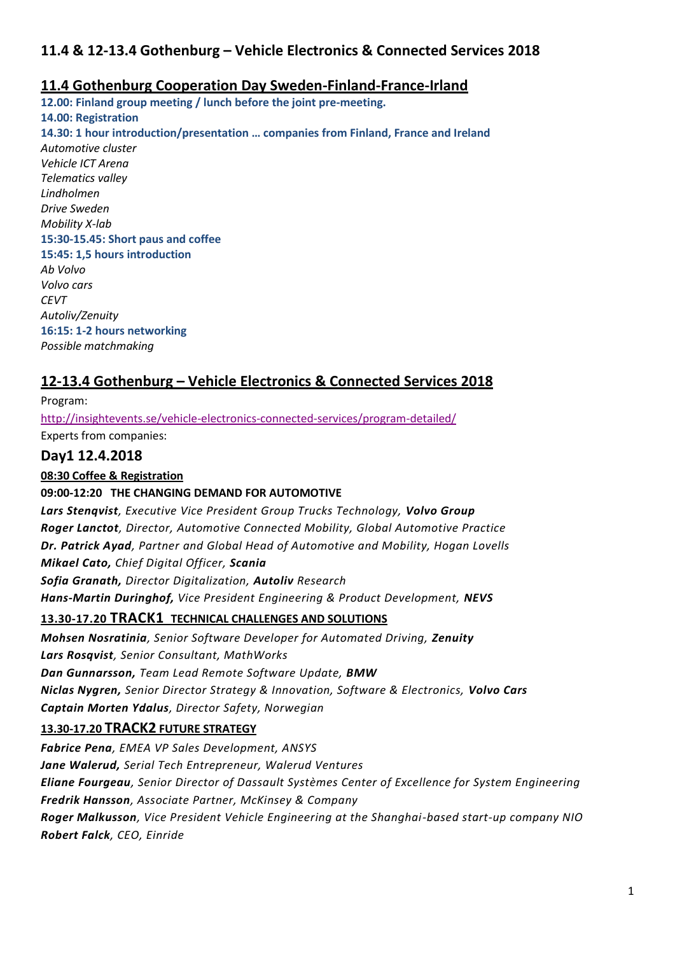# **11.4 & 12-13.4 Gothenburg – Vehicle Electronics & Connected Services 2018**

## **11.4 Gothenburg Cooperation Day Sweden-Finland-France-Irland**

**12.00: Finland group meeting / lunch before the joint pre-meeting. 14.00: Registration 14.30: 1 hour introduction/presentation … companies from Finland, France and Ireland** *Automotive cluster Vehicle ICT Arena Telematics valley Lindholmen Drive Sweden Mobility X-lab* **15:30-15.45: Short paus and coffee 15:45: 1,5 hours introduction**  *Ab Volvo Volvo cars CEVT Autoliv/Zenuity* **16:15: 1-2 hours networking** *Possible matchmaking*

# **12-13.4 Gothenburg – Vehicle Electronics & Connected Services 2018**

Program: <http://insightevents.se/vehicle-electronics-connected-services/program-detailed/> Experts from companies:

## **Day1 12.4.2018**

**08:30 Coffee & Registration**

### **09:00-12:20 THE CHANGING DEMAND FOR AUTOMOTIVE**

*Lars Stenqvist, Executive Vice President Group Trucks Technology, Volvo Group Roger Lanctot, Director, Automotive Connected Mobility, Global Automotive Practice Dr. Patrick Ayad, Partner and Global Head of Automotive and Mobility, Hogan Lovells Mikael Cato, Chief Digital Officer, Scania Sofia Granath, Director Digitalization, Autoliv Research Hans-Martin Duringhof, Vice President Engineering & Product Development, NEVS* **13.30-17.20 TRACK1 TECHNICAL CHALLENGES AND SOLUTIONS** *Mohsen Nosratinia, Senior Software Developer for Automated Driving, Zenuity*

*Lars Rosqvist, Senior Consultant, MathWorks Dan Gunnarsson, Team Lead Remote Software Update, BMW Niclas Nygren, Senior Director Strategy & Innovation, Software & Electronics, Volvo Cars Captain Morten Ydalus, Director Safety, Norwegian*

### **13.30-17.20 TRACK2 FUTURE STRATEGY**

*Fabrice Pena, EMEA VP Sales Development, ANSYS Jane Walerud, Serial Tech Entrepreneur, Walerud Ventures Eliane Fourgeau, Senior Director of Dassault Systèmes Center of Excellence for System Engineering Fredrik Hansson, Associate Partner, McKinsey & Company Roger Malkusson, Vice President Vehicle Engineering at the Shanghai-based start-up company NIO Robert Falck, CEO, Einride*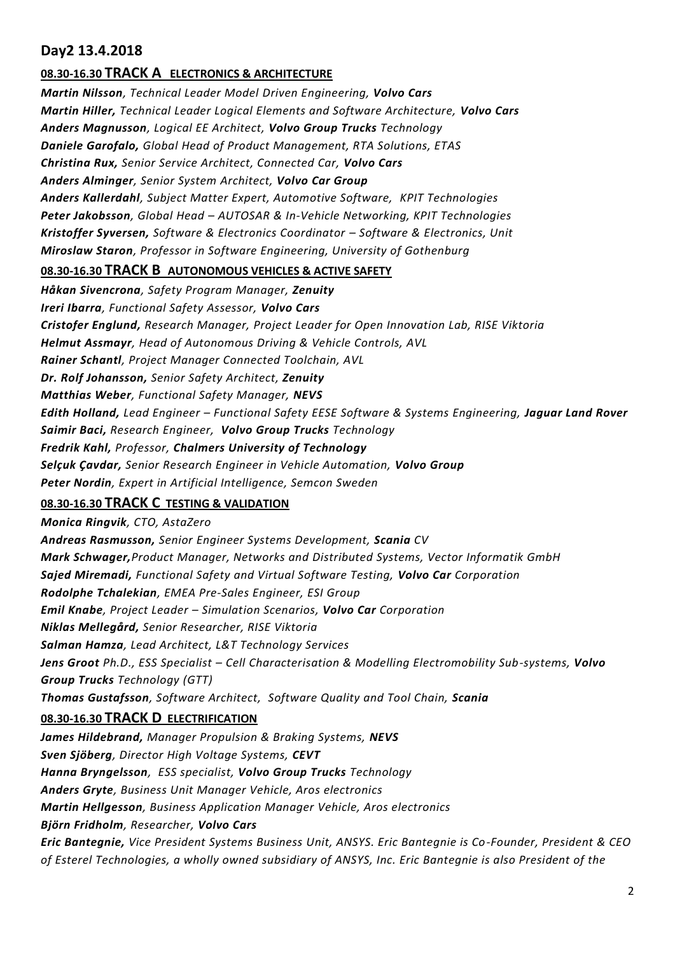# **Day2 13.4.2018**

### **08.30-16.30 TRACK A ELECTRONICS & ARCHITECTURE**

*Martin Nilsson, Technical Leader Model Driven Engineering, Volvo Cars Martin Hiller, Technical Leader Logical Elements and Software Architecture, Volvo Cars Anders Magnusson, Logical EE Architect, Volvo Group Trucks Technology Daniele Garofalo, Global Head of Product Management, RTA Solutions, ETAS Christina Rux, Senior Service Architect, Connected Car, Volvo Cars Anders Alminger, Senior System Architect, Volvo Car Group Anders Kallerdahl, Subject Matter Expert, Automotive Software, KPIT Technologies Peter Jakobsson, Global Head – AUTOSAR & In-Vehicle Networking, KPIT Technologies Kristoffer Syversen, Software & Electronics Coordinator – Software & Electronics, Unit Miroslaw Staron, Professor in Software Engineering, University of Gothenburg*

#### **08.30-16.30 TRACK B AUTONOMOUS VEHICLES & ACTIVE SAFETY**

*Håkan Sivencrona, Safety Program Manager, Zenuity Ireri Ibarra, Functional Safety Assessor, Volvo Cars Cristofer Englund, Research Manager, Project Leader for Open Innovation Lab, RISE Viktoria Helmut Assmayr, Head of Autonomous Driving & Vehicle Controls, AVL Rainer Schantl, Project Manager Connected Toolchain, AVL Dr. Rolf Johansson, Senior Safety Architect, Zenuity Matthias Weber, Functional Safety Manager, NEVS Edith Holland, Lead Engineer – Functional Safety EESE Software & Systems Engineering, Jaguar Land Rover Saimir Baci, Research Engineer, Volvo Group Trucks Technology Fredrik Kahl, Professor, Chalmers University of Technology Selçuk Çavdar, Senior Research Engineer in Vehicle Automation, Volvo Group Peter Nordin, Expert in Artificial Intelligence, Semcon Sweden*

### **08.30-16.30 TRACK C TESTING & VALIDATION**

*Monica Ringvik, CTO, AstaZero Andreas Rasmusson, Senior Engineer Systems Development, Scania CV Mark Schwager,Product Manager, Networks and Distributed Systems, Vector Informatik GmbH Sajed Miremadi, Functional Safety and Virtual Software Testing, Volvo Car Corporation Rodolphe Tchalekian, EMEA Pre-Sales Engineer, ESI Group Emil Knabe, Project Leader – Simulation Scenarios, Volvo Car Corporation Niklas Mellegård, Senior Researcher, RISE Viktoria Salman Hamza, Lead Architect, L&T Technology Services Jens Groot Ph.D., ESS Specialist – Cell Characterisation & Modelling Electromobility Sub-systems, Volvo Group Trucks Technology (GTT) Thomas Gustafsson, Software Architect, Software Quality and Tool Chain, Scania* **08.30-16.30 TRACK D ELECTRIFICATION**  *James Hildebrand, Manager Propulsion & Braking Systems, NEVS Sven Sjöberg, Director High Voltage Systems, CEVT Hanna Bryngelsson, ESS specialist, Volvo Group Trucks Technology Anders Gryte, Business Unit Manager Vehicle, Aros electronics Martin Hellgesson, Business Application Manager Vehicle, Aros electronics Björn Fridholm, Researcher, Volvo Cars*

*Eric Bantegnie, Vice President Systems Business Unit, ANSYS. Eric Bantegnie is Co-Founder, President & CEO of Esterel Technologies, a wholly owned subsidiary of ANSYS, Inc. Eric Bantegnie is also President of the*